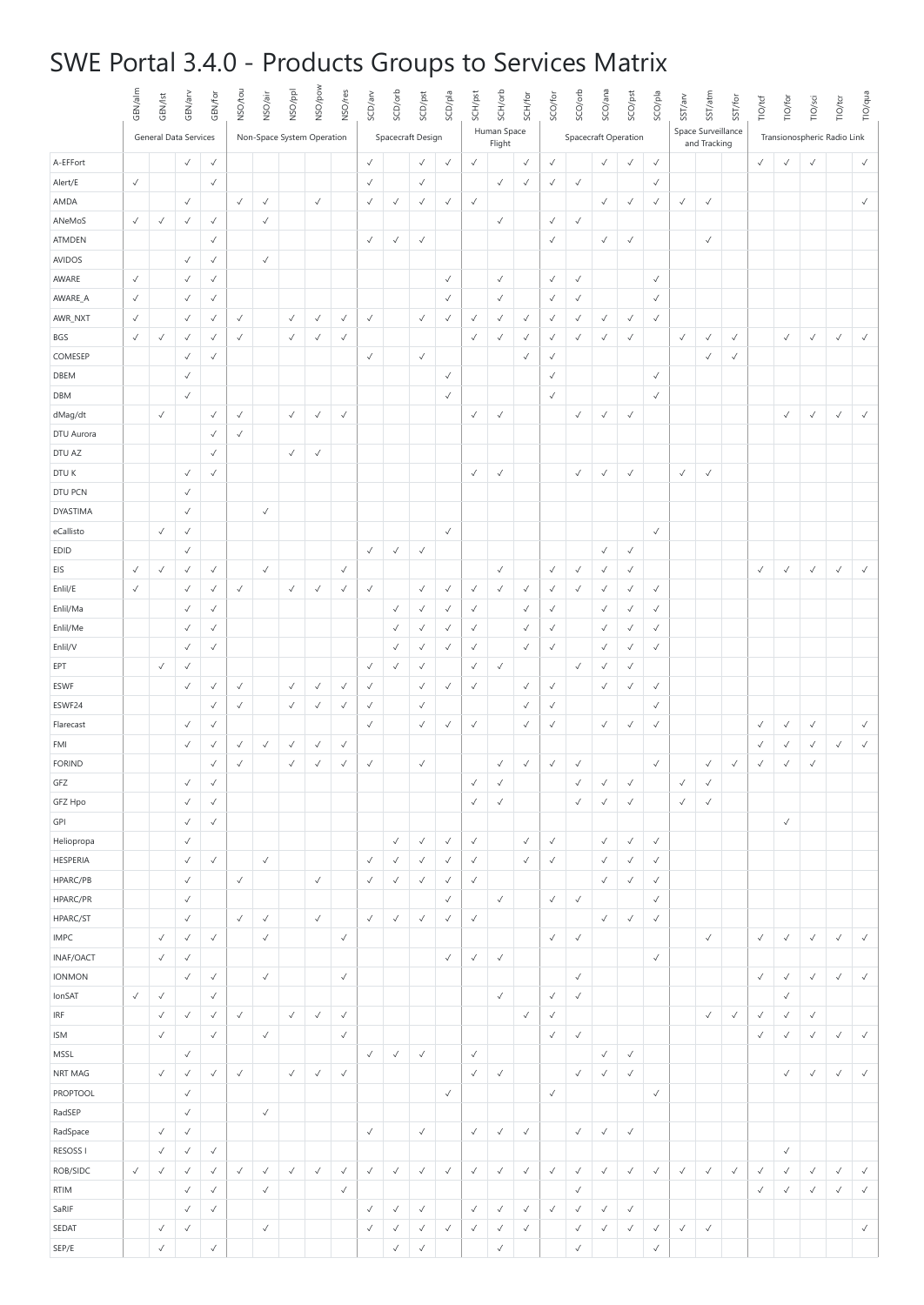## SWE Portal 3.4.0 - Products Groups to Services Matrix

|                    | GEN/alm               | GEN/lst      | GEN/arv                      | GEN/for      | NSO/tou      | NSO/air      | NSO/ppl                    | NSO/pow      | NSO/res      | SCD/arv           | SCD/orb      | SCD/pst      | SCD/pla      | SCH/pst                      | SCH/orb      | SCH/for      | SCO/for              | SCO/orb      | SCO/ana                      | SCO/pst                      | SCO/pla      | SST/arv                            | SST/atm      | SST/for                     | <b>TIO/tcf</b> | TIO/for      | TIO/sci      | <b>TIO/tcr</b> | TIO/qua      |
|--------------------|-----------------------|--------------|------------------------------|--------------|--------------|--------------|----------------------------|--------------|--------------|-------------------|--------------|--------------|--------------|------------------------------|--------------|--------------|----------------------|--------------|------------------------------|------------------------------|--------------|------------------------------------|--------------|-----------------------------|----------------|--------------|--------------|----------------|--------------|
|                    | General Data Services |              |                              |              |              |              | Non-Space System Operation |              |              | Spacecraft Design |              |              |              | Human Space<br>Flight        |              |              | Spacecraft Operation |              |                              |                              |              | Space Surveillance<br>and Tracking |              | Transionospheric Radio Link |                |              |              |                |              |
| A-EFFort           |                       |              | $\checkmark$                 | $\checkmark$ |              |              |                            |              |              | $\checkmark$      |              | $\checkmark$ | $\checkmark$ | $\checkmark$                 |              | $\checkmark$ | $\checkmark$         |              | $\checkmark$                 | $\checkmark$                 | $\checkmark$ |                                    |              |                             | $\checkmark$   | $\checkmark$ | $\checkmark$ |                | $\checkmark$ |
| Alert/E            | $\checkmark$          |              |                              | $\checkmark$ |              |              |                            |              |              | $\checkmark$      |              | $\checkmark$ |              |                              | $\checkmark$ | $\checkmark$ | $\checkmark$         | $\checkmark$ |                              |                              | $\checkmark$ |                                    |              |                             |                |              |              |                |              |
| AMDA               |                       |              | $\checkmark$                 |              | $\checkmark$ | $\checkmark$ |                            | $\checkmark$ |              | $\checkmark$      | $\checkmark$ | $\checkmark$ | $\checkmark$ | $\checkmark$                 |              |              |                      |              | $\checkmark$                 | $\checkmark$                 | $\checkmark$ | $\checkmark$                       | $\checkmark$ |                             |                |              |              |                | $\checkmark$ |
| ANeMoS             | $\checkmark$          | $\checkmark$ | $\checkmark$                 | $\checkmark$ |              | $\checkmark$ |                            |              |              |                   |              |              |              |                              | $\checkmark$ |              | $\checkmark$         | $\checkmark$ |                              |                              |              |                                    |              |                             |                |              |              |                |              |
| ATMDEN             |                       |              |                              | $\checkmark$ |              |              |                            |              |              | $\checkmark$      | $\checkmark$ | $\checkmark$ |              |                              |              |              | $\checkmark$         |              | $\checkmark$                 | $\checkmark$                 |              |                                    | $\checkmark$ |                             |                |              |              |                |              |
| AVIDOS             |                       |              | $\checkmark$                 | $\checkmark$ |              | $\checkmark$ |                            |              |              |                   |              |              |              |                              |              |              |                      |              |                              |                              |              |                                    |              |                             |                |              |              |                |              |
| AWARE              | $\checkmark$          |              | $\checkmark$                 | $\checkmark$ |              |              |                            |              |              |                   |              |              | $\checkmark$ |                              | $\checkmark$ |              | $\checkmark$         | $\checkmark$ |                              |                              | $\checkmark$ |                                    |              |                             |                |              |              |                |              |
| AWARE_A            | $\checkmark$          |              | $\checkmark$                 | $\checkmark$ |              |              |                            |              |              |                   |              |              | $\checkmark$ |                              | $\checkmark$ |              | $\checkmark$         | $\checkmark$ |                              |                              | $\checkmark$ |                                    |              |                             |                |              |              |                |              |
| AWR_NXT            | $\checkmark$          |              | $\checkmark$                 | $\checkmark$ | $\checkmark$ |              | $\checkmark$               | $\checkmark$ | $\checkmark$ | $\checkmark$      |              | $\checkmark$ | $\checkmark$ | $\checkmark$                 | $\checkmark$ | $\checkmark$ | $\checkmark$         | $\checkmark$ | $\checkmark$                 | $\checkmark$                 | $\checkmark$ |                                    |              |                             |                |              |              |                |              |
| BGS                | $\checkmark$          | $\checkmark$ | $\checkmark$                 | $\checkmark$ | $\checkmark$ |              | $\checkmark$               | $\checkmark$ | $\checkmark$ |                   |              |              |              | $\checkmark$                 | $\checkmark$ | √            | $\checkmark$         | √            | $\checkmark$                 | $\checkmark$                 |              | $\checkmark$                       | $\checkmark$ | $\checkmark$                |                | $\checkmark$ | $\checkmark$ | $\checkmark$   | $\checkmark$ |
| COMESEP            |                       |              | $\checkmark$                 | $\checkmark$ |              |              |                            |              |              | $\checkmark$      |              | $\checkmark$ |              |                              |              | $\checkmark$ | $\checkmark$         |              |                              |                              |              |                                    | $\checkmark$ | $\checkmark$                |                |              |              |                |              |
| DBEM               |                       |              | $\checkmark$                 |              |              |              |                            |              |              |                   |              |              | $\checkmark$ |                              |              |              | $\checkmark$         |              |                              |                              | $\checkmark$ |                                    |              |                             |                |              |              |                |              |
| DBM                |                       |              | $\checkmark$                 |              |              |              |                            |              |              |                   |              |              | $\checkmark$ |                              |              |              | $\checkmark$         |              |                              |                              | $\checkmark$ |                                    |              |                             |                |              |              |                |              |
| dMag/dt            |                       | $\checkmark$ |                              | $\checkmark$ | $\checkmark$ |              | $\checkmark$               | $\checkmark$ | $\checkmark$ |                   |              |              |              | $\checkmark$                 | $\checkmark$ |              |                      | $\checkmark$ | $\checkmark$                 | $\checkmark$                 |              |                                    |              |                             |                | $\checkmark$ | $\checkmark$ | $\checkmark$   | $\checkmark$ |
| DTU Aurora         |                       |              |                              | $\checkmark$ | $\checkmark$ |              |                            |              |              |                   |              |              |              |                              |              |              |                      |              |                              |                              |              |                                    |              |                             |                |              |              |                |              |
| DTU AZ             |                       |              |                              | $\checkmark$ |              |              | $\checkmark$               | $\checkmark$ |              |                   |              |              |              |                              |              |              |                      |              |                              |                              |              |                                    |              |                             |                |              |              |                |              |
| DTU K              |                       |              | $\checkmark$                 | $\checkmark$ |              |              |                            |              |              |                   |              |              |              | $\checkmark$                 | $\checkmark$ |              |                      | $\checkmark$ | $\checkmark$                 | $\checkmark$                 |              | $\checkmark$                       | $\checkmark$ |                             |                |              |              |                |              |
| DTU PCN            |                       |              | $\checkmark$                 |              |              |              |                            |              |              |                   |              |              |              |                              |              |              |                      |              |                              |                              |              |                                    |              |                             |                |              |              |                |              |
| DYASTIMA           |                       |              | $\checkmark$                 |              |              | $\checkmark$ |                            |              |              |                   |              |              |              |                              |              |              |                      |              |                              |                              |              |                                    |              |                             |                |              |              |                |              |
| eCallisto          |                       | $\checkmark$ | $\checkmark$                 |              |              |              |                            |              |              |                   |              |              | $\checkmark$ |                              |              |              |                      |              |                              |                              | $\checkmark$ |                                    |              |                             |                |              |              |                |              |
| EDID               |                       |              | $\checkmark$                 |              |              |              |                            |              |              | $\checkmark$      | $\checkmark$ | $\checkmark$ |              |                              |              |              |                      |              | $\checkmark$                 | $\checkmark$                 |              |                                    |              |                             |                |              |              |                |              |
| EIS                | $\checkmark$          | $\checkmark$ | $\checkmark$                 | $\checkmark$ |              | $\checkmark$ |                            |              | $\checkmark$ |                   |              |              |              |                              | $\checkmark$ |              | $\checkmark$         | $\checkmark$ | $\checkmark$                 | $\checkmark$                 |              |                                    |              |                             | $\checkmark$   | $\checkmark$ | $\checkmark$ | $\checkmark$   | $\checkmark$ |
| Enlil/E            | $\checkmark$          |              | $\checkmark$                 | $\checkmark$ | $\checkmark$ |              | $\checkmark$               | $\checkmark$ | $\checkmark$ | $\checkmark$      |              | $\checkmark$ | $\checkmark$ | $\checkmark$                 | $\checkmark$ | $\checkmark$ | $\checkmark$         | $\checkmark$ | $\checkmark$                 | $\checkmark$                 | √            |                                    |              |                             |                |              |              |                |              |
| Enlil/Ma           |                       |              | $\checkmark$                 | $\checkmark$ |              |              |                            |              |              |                   | $\checkmark$ | √            | $\checkmark$ | $\checkmark$                 |              | $\checkmark$ | $\checkmark$         |              | $\checkmark$                 | $\checkmark$                 | $\checkmark$ |                                    |              |                             |                |              |              |                |              |
| Enlil/Me           |                       |              | √                            | $\checkmark$ |              |              |                            |              |              |                   | $\checkmark$ | √            | $\checkmark$ | $\checkmark$                 |              | $\checkmark$ | $\checkmark$         |              | $\checkmark$                 | $\checkmark$                 | $\checkmark$ |                                    |              |                             |                |              |              |                |              |
| Enlil/V            |                       |              | $\checkmark$                 | $\checkmark$ |              |              |                            |              |              |                   | $\checkmark$ | $\checkmark$ | $\checkmark$ | $\checkmark$                 |              | $\checkmark$ | $\checkmark$         |              | $\checkmark$                 | $\checkmark$                 | $\checkmark$ |                                    |              |                             |                |              |              |                |              |
| EPT                |                       | $\checkmark$ | $\checkmark$                 |              |              |              |                            |              |              | $\checkmark$      | $\checkmark$ | $\checkmark$ |              | $\checkmark$                 | $\checkmark$ |              |                      | $\checkmark$ | $\checkmark$                 | $\checkmark$                 |              |                                    |              |                             |                |              |              |                |              |
| ESWF               |                       |              | $\checkmark$                 | $\checkmark$ | $\checkmark$ |              | $\checkmark$               | $\checkmark$ | $\checkmark$ | $\checkmark$      |              | $\checkmark$ | $\checkmark$ | $\checkmark$                 |              | $\checkmark$ | $\checkmark$         |              | $\checkmark$                 | $\checkmark$                 | $\checkmark$ |                                    |              |                             |                |              |              |                |              |
| ESWF24             |                       |              |                              | $\checkmark$ | $\checkmark$ |              | $\checkmark$               | $\checkmark$ | $\checkmark$ | $\checkmark$      |              | $\checkmark$ |              |                              |              | $\checkmark$ | $\checkmark$         |              |                              |                              | $\checkmark$ |                                    |              |                             |                |              |              |                |              |
| Flarecast          |                       |              | $\checkmark$                 | $\checkmark$ |              |              |                            |              |              | $\checkmark$      |              | $\checkmark$ | $\checkmark$ | $\checkmark$                 |              | $\checkmark$ | $\checkmark$         |              | $\checkmark$                 | $\checkmark$                 | $\checkmark$ |                                    |              |                             | $\checkmark$   | $\checkmark$ | $\checkmark$ |                | $\checkmark$ |
| FMI                |                       |              | $\checkmark$                 | $\checkmark$ | $\checkmark$ | $\checkmark$ | √                          | $\checkmark$ | $\checkmark$ |                   |              |              |              |                              |              |              |                      |              |                              |                              |              |                                    |              |                             | $\checkmark$   | ✓            | $\checkmark$ | $\checkmark$   | $\checkmark$ |
| <b>FORIND</b>      |                       |              |                              | $\checkmark$ | $\checkmark$ |              | $\checkmark$               | $\checkmark$ | $\checkmark$ | $\checkmark$      |              | $\checkmark$ |              |                              | $\checkmark$ | $\checkmark$ | $\checkmark$         | $\checkmark$ |                              |                              | $\checkmark$ |                                    | $\checkmark$ | $\checkmark$                | $\checkmark$   | $\checkmark$ | $\checkmark$ |                |              |
| GFZ                |                       |              | $\checkmark$                 | $\checkmark$ |              |              |                            |              |              |                   |              |              |              | $\checkmark$                 | $\checkmark$ |              |                      | $\checkmark$ | $\checkmark$                 | $\checkmark$                 |              | $\checkmark$                       | $\checkmark$ |                             |                |              |              |                |              |
| GFZ Hpo            |                       |              | $\checkmark$                 | $\checkmark$ |              |              |                            |              |              |                   |              |              |              | √                            | $\checkmark$ |              |                      | $\checkmark$ | $\checkmark$                 | $\checkmark$                 |              | $\checkmark$                       | $\checkmark$ |                             |                |              |              |                |              |
| GPI                |                       |              | $\checkmark$                 | $\checkmark$ |              |              |                            |              |              |                   |              |              |              |                              |              |              |                      |              |                              |                              |              |                                    |              |                             |                | $\checkmark$ |              |                |              |
| Heliopropa         |                       |              | $\checkmark$                 |              |              |              |                            |              |              |                   | $\checkmark$ | $\checkmark$ | $\checkmark$ | $\checkmark$                 |              | $\checkmark$ | $\checkmark$         |              | $\checkmark$                 | $\checkmark$                 | $\checkmark$ |                                    |              |                             |                |              |              |                |              |
| HESPERIA           |                       |              | $\checkmark$                 | $\checkmark$ |              | $\checkmark$ |                            |              |              | $\checkmark$      | $\checkmark$ | $\checkmark$ | $\checkmark$ | $\checkmark$                 |              | $\checkmark$ | $\checkmark$         |              | $\checkmark$                 | $\checkmark$                 | $\checkmark$ |                                    |              |                             |                |              |              |                |              |
| HPARC/PB           |                       |              | $\checkmark$                 |              | $\checkmark$ |              |                            | $\checkmark$ |              | $\checkmark$      | $\checkmark$ | $\checkmark$ | $\checkmark$ | $\checkmark$                 |              |              |                      |              | $\checkmark$                 | $\checkmark$                 | $\checkmark$ |                                    |              |                             |                |              |              |                |              |
| HPARC/PR           |                       |              | $\checkmark$                 |              |              |              |                            |              |              |                   |              |              | $\checkmark$ |                              | $\checkmark$ |              | $\checkmark$         | $\checkmark$ |                              |                              | $\checkmark$ |                                    |              |                             |                |              |              |                |              |
| HPARC/ST           |                       |              | $\checkmark$                 |              | $\checkmark$ | $\checkmark$ |                            | $\checkmark$ |              | $\checkmark$      | $\checkmark$ | $\checkmark$ | $\checkmark$ | $\checkmark$                 |              |              |                      |              | $\checkmark$                 | $\checkmark$                 | $\checkmark$ |                                    |              |                             |                |              |              |                |              |
| IMPC               |                       | $\checkmark$ | $\checkmark$                 | $\checkmark$ |              | $\checkmark$ |                            |              | $\checkmark$ |                   |              |              |              |                              |              |              | $\checkmark$         | $\checkmark$ |                              |                              |              |                                    | $\checkmark$ |                             | $\checkmark$   | $\checkmark$ | $\checkmark$ | $\checkmark$   | $\checkmark$ |
| INAF/OACT          |                       | $\checkmark$ | $\checkmark$                 |              |              |              |                            |              |              |                   |              |              | $\checkmark$ | $\checkmark$                 | $\checkmark$ |              |                      |              |                              |                              | $\checkmark$ |                                    |              |                             |                |              |              |                |              |
| <b>IONMON</b>      |                       |              | $\checkmark$                 | $\checkmark$ |              | $\checkmark$ |                            |              | $\checkmark$ |                   |              |              |              |                              |              |              |                      | $\checkmark$ |                              |                              |              |                                    |              |                             | $\checkmark$   | $\checkmark$ | $\checkmark$ | $\checkmark$   | $\checkmark$ |
| lonSAT             | $\checkmark$          | $\checkmark$ |                              | $\checkmark$ |              |              |                            |              |              |                   |              |              |              |                              | $\checkmark$ |              | $\checkmark$         | $\checkmark$ |                              |                              |              |                                    |              |                             |                | $\checkmark$ |              |                |              |
| IRF                |                       | $\checkmark$ | $\checkmark$                 | $\checkmark$ | $\checkmark$ |              | $\checkmark$               | $\checkmark$ | $\checkmark$ |                   |              |              |              |                              |              | $\checkmark$ | $\checkmark$         |              |                              |                              |              |                                    | $\checkmark$ | $\checkmark$                | $\checkmark$   | $\checkmark$ | $\checkmark$ |                |              |
| <b>ISM</b>         |                       | $\checkmark$ |                              | $\checkmark$ |              | $\checkmark$ |                            |              | $\checkmark$ | $\checkmark$      |              |              |              |                              |              |              | $\checkmark$         | $\checkmark$ |                              |                              |              |                                    |              |                             | $\checkmark$   | $\checkmark$ | $\checkmark$ | $\checkmark$   | $\checkmark$ |
| MSSL               |                       |              | $\checkmark$                 |              | $\checkmark$ |              |                            |              |              |                   | $\checkmark$ | $\checkmark$ |              | $\checkmark$<br>$\checkmark$ |              |              |                      |              | $\checkmark$<br>$\checkmark$ | $\checkmark$<br>$\checkmark$ |              |                                    |              |                             |                |              |              |                | $\checkmark$ |
| NRT MAG            |                       | $\checkmark$ | $\checkmark$                 | $\checkmark$ |              |              | $\checkmark$               | $\checkmark$ | $\checkmark$ |                   |              |              |              |                              | $\checkmark$ |              |                      | $\checkmark$ |                              |                              |              |                                    |              |                             |                | $\checkmark$ | $\checkmark$ | $\checkmark$   |              |
| PROPTOOL<br>RadSEP |                       |              | $\checkmark$<br>$\checkmark$ |              |              | $\checkmark$ |                            |              |              |                   |              |              | $\checkmark$ |                              |              |              | $\checkmark$         |              |                              |                              | $\checkmark$ |                                    |              |                             |                |              |              |                |              |
| RadSpace           |                       | $\checkmark$ | $\checkmark$                 |              |              |              |                            |              |              | $\checkmark$      |              | $\checkmark$ |              | $\checkmark$                 | $\checkmark$ | $\checkmark$ |                      | $\checkmark$ | $\checkmark$                 | $\checkmark$                 |              |                                    |              |                             |                |              |              |                |              |
| RESOSS I           |                       | $\checkmark$ | $\checkmark$                 | $\checkmark$ |              |              |                            |              |              |                   |              |              |              |                              |              |              |                      |              |                              |                              |              |                                    |              |                             |                | $\checkmark$ |              |                |              |
| ROB/SIDC           | $\checkmark$          | $\checkmark$ | $\checkmark$                 | $\checkmark$ | $\checkmark$ | $\checkmark$ | $\checkmark$               | $\checkmark$ | $\checkmark$ | $\checkmark$      | $\checkmark$ | $\checkmark$ | $\checkmark$ | $\checkmark$                 | $\checkmark$ | $\checkmark$ | $\checkmark$         | $\checkmark$ | $\checkmark$                 | $\checkmark$                 | $\checkmark$ | $\checkmark$                       | $\checkmark$ | $\checkmark$                | $\checkmark$   | $\checkmark$ | $\checkmark$ | $\checkmark$   | $\checkmark$ |
| <b>RTIM</b>        |                       |              | $\checkmark$                 | $\checkmark$ |              | $\checkmark$ |                            |              | $\checkmark$ |                   |              |              |              |                              |              |              |                      | $\checkmark$ |                              |                              |              |                                    |              |                             | $\checkmark$   | $\checkmark$ | $\checkmark$ | $\checkmark$   | $\checkmark$ |
| SaRIF              |                       |              | $\checkmark$                 | $\checkmark$ |              |              |                            |              |              | $\checkmark$      | $\checkmark$ | $\checkmark$ |              | $\checkmark$                 | $\checkmark$ | $\checkmark$ | $\checkmark$         | $\checkmark$ | $\checkmark$                 | $\checkmark$                 |              |                                    |              |                             |                |              |              |                |              |
| SEDAT              |                       | $\checkmark$ | $\checkmark$                 |              |              | $\checkmark$ |                            |              |              | $\checkmark$      | $\checkmark$ | $\checkmark$ | $\checkmark$ | $\checkmark$                 | $\checkmark$ | $\checkmark$ |                      | $\checkmark$ | $\checkmark$                 | $\checkmark$                 | $\checkmark$ | $\checkmark$                       | $\checkmark$ |                             |                |              |              |                | $\checkmark$ |
| SEP/E              |                       | $\checkmark$ |                              | $\checkmark$ |              |              |                            |              |              |                   | $\checkmark$ | $\checkmark$ |              |                              | $\checkmark$ |              |                      | $\checkmark$ |                              |                              | $\checkmark$ |                                    |              |                             |                |              |              |                |              |